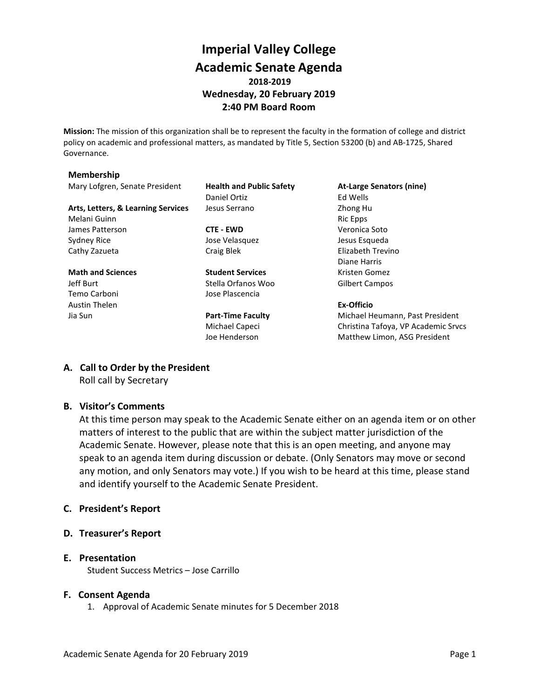# **Imperial Valley College Academic Senate Agenda 2018-2019 Wednesday, 20 February 2019 2:40 PM Board Room**

**Mission:** The mission of this organization shall be to represent the faculty in the formation of college and district policy on academic and professional matters, as mandated by Title 5, Section 53200 (b) and AB-1725, Shared Governance.

#### **Membership**

Mary Lofgren, Senate President **Health and Public Safety At-Large Senators (nine)**

Arts, Letters, & Learning Services Jesus Serrano **Zhong Human** Zhong Human Zhong Human Zhong Human Zhong Human Zhong Human Zhong Human Zhong Human Zhong Human Zhong Human Zhong Human Zhong Human Zhong Human Zhong Human Zho Melani Guinn **Ric Epps** and Ric Epps **Ric Epps Ric Epps** James Patterson **CTE - EWD** Veronica Soto Sydney Rice **Symbol Sydney Rice** Jose Velasquez **Jesus Esqueda** Cathy Zazueta **Craig Blek** Craig Blek Elizabeth Trevino

Jeff Burt Stella Orfanos Woo Gilbert Campos Temo Carboni Jose Plascencia Austin Thelen **Ex-Officio**

Daniel Ortiz **Ed Wells** 

**Math and Sciences Student Services** Kristen Gomez

Diane Harris

Jia Sun **Part-Time Faculty** Michael Heumann, Past President Michael Capeci Christina Tafoya, VP Academic Srvcs Joe Henderson Matthew Limon, ASG President

### **A. Call to Order by the President**

Roll call by Secretary

# **B. Visitor's Comments**

At this time person may speak to the Academic Senate either on an agenda item or on other matters of interest to the public that are within the subject matter jurisdiction of the Academic Senate. However, please note that this is an open meeting, and anyone may speak to an agenda item during discussion or debate. (Only Senators may move or second any motion, and only Senators may vote.) If you wish to be heard at this time, please stand and identify yourself to the Academic Senate President.

### **C. President's Report**

**D. Treasurer's Report**

# **E. Presentation**

Student Success Metrics – Jose Carrillo

### **F. Consent Agenda**

1. Approval of Academic Senate minutes for 5 December 2018